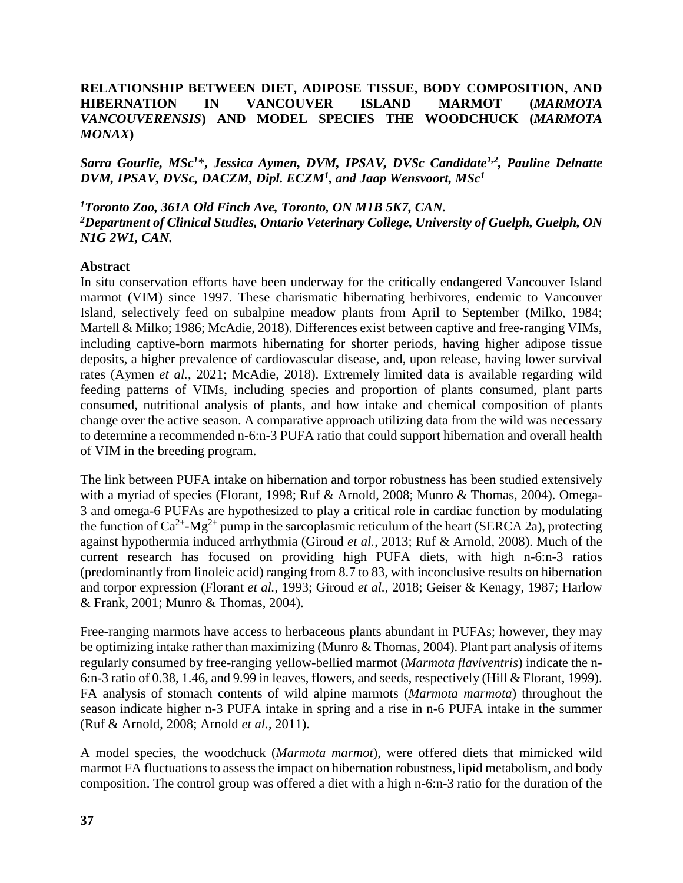## **RELATIONSHIP BETWEEN DIET, ADIPOSE TISSUE, BODY COMPOSITION, AND HIBERNATION IN VANCOUVER ISLAND MARMOT (***MARMOTA VANCOUVERENSIS***) AND MODEL SPECIES THE WOODCHUCK (***MARMOTA MONAX***)**

*Sarra Gourlie, MSc<sup>1</sup>*\**, Jessica Aymen, DVM, IPSAV, DVSc Candidate1,2 , Pauline Delnatte DVM, IPSAV, DVSc, DACZM, Dipl. ECZM<sup>1</sup> , and Jaap Wensvoort, MSc<sup>1</sup>*

## *<sup>1</sup>Toronto Zoo, 361A Old Finch Ave, Toronto, ON M1B 5K7, CAN. <sup>2</sup>Department of Clinical Studies, Ontario Veterinary College, University of Guelph, Guelph, ON N1G 2W1, CAN.*

## **Abstract**

In situ conservation efforts have been underway for the critically endangered Vancouver Island marmot (VIM) since 1997. These charismatic hibernating herbivores, endemic to Vancouver Island, selectively feed on subalpine meadow plants from April to September (Milko, 1984; Martell & Milko; 1986; McAdie, 2018). Differences exist between captive and free-ranging VIMs, including captive-born marmots hibernating for shorter periods, having higher adipose tissue deposits, a higher prevalence of cardiovascular disease, and, upon release, having lower survival rates (Aymen *et al.*, 2021; McAdie, 2018). Extremely limited data is available regarding wild feeding patterns of VIMs, including species and proportion of plants consumed, plant parts consumed, nutritional analysis of plants, and how intake and chemical composition of plants change over the active season. A comparative approach utilizing data from the wild was necessary to determine a recommended n-6:n-3 PUFA ratio that could support hibernation and overall health of VIM in the breeding program.

The link between PUFA intake on hibernation and torpor robustness has been studied extensively with a myriad of species (Florant, 1998; Ruf & Arnold, 2008; Munro & Thomas, 2004). Omega-3 and omega-6 PUFAs are hypothesized to play a critical role in cardiac function by modulating the function of  $Ca^{2+}$ -Mg<sup>2+</sup> pump in the sarcoplasmic reticulum of the heart (SERCA 2a), protecting against hypothermia induced arrhythmia (Giroud *et al.*, 2013; Ruf & Arnold, 2008). Much of the current research has focused on providing high PUFA diets, with high n-6:n-3 ratios (predominantly from linoleic acid) ranging from 8.7 to 83, with inconclusive results on hibernation and torpor expression (Florant *et al.*, 1993; Giroud *et al.*, 2018; Geiser & Kenagy, 1987; Harlow & Frank, 2001; Munro & Thomas, 2004).

Free-ranging marmots have access to herbaceous plants abundant in PUFAs; however, they may be optimizing intake rather than maximizing (Munro & Thomas, 2004). Plant part analysis of items regularly consumed by free-ranging yellow-bellied marmot (*Marmota flaviventris*) indicate the n-6:n-3 ratio of 0.38, 1.46, and 9.99 in leaves, flowers, and seeds, respectively (Hill & Florant, 1999). FA analysis of stomach contents of wild alpine marmots (*Marmota marmota*) throughout the season indicate higher n-3 PUFA intake in spring and a rise in n-6 PUFA intake in the summer (Ruf & Arnold, 2008; Arnold *et al.*, 2011).

A model species, the woodchuck (*Marmota marmot*), were offered diets that mimicked wild marmot FA fluctuations to assess the impact on hibernation robustness, lipid metabolism, and body composition. The control group was offered a diet with a high n-6:n-3 ratio for the duration of the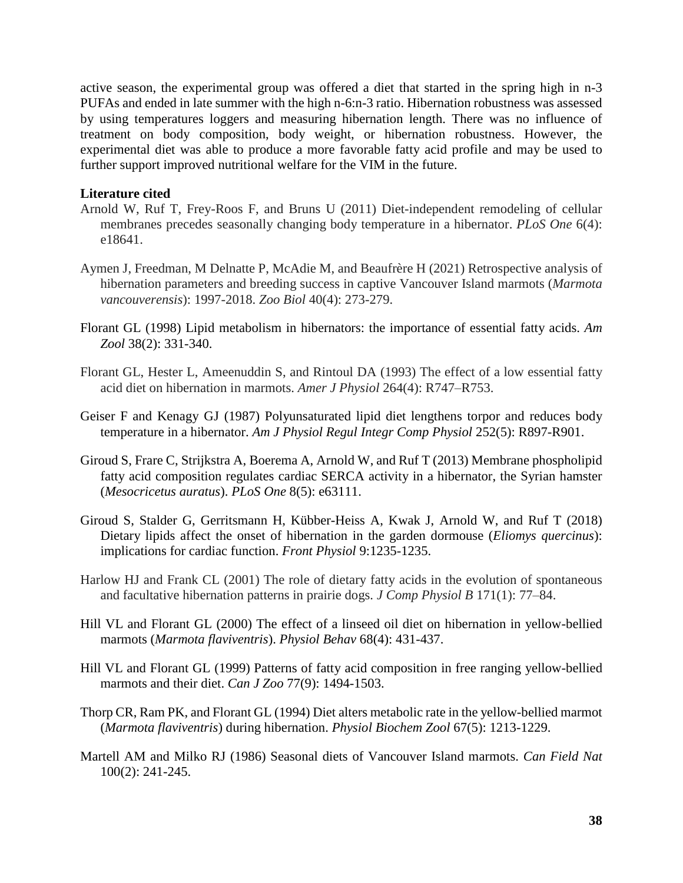active season, the experimental group was offered a diet that started in the spring high in n-3 PUFAs and ended in late summer with the high n-6:n-3 ratio. Hibernation robustness was assessed by using temperatures loggers and measuring hibernation length. There was no influence of treatment on body composition, body weight, or hibernation robustness. However, the experimental diet was able to produce a more favorable fatty acid profile and may be used to further support improved nutritional welfare for the VIM in the future.

## **Literature cited**

- Arnold W, Ruf T, Frey-Roos F, and Bruns U (2011) Diet-independent remodeling of cellular membranes precedes seasonally changing body temperature in a hibernator. *PLoS One* 6(4): e18641.
- Aymen J, Freedman, M Delnatte P, McAdie M, and Beaufrère H (2021) Retrospective analysis of hibernation parameters and breeding success in captive Vancouver Island marmots (*Marmota vancouverensis*): 1997-2018. *Zoo Biol* 40(4): 273-279.
- Florant GL (1998) Lipid metabolism in hibernators: the importance of essential fatty acids. *Am Zool* 38(2): 331-340.
- Florant GL, Hester L, Ameenuddin S, and Rintoul DA (1993) The effect of a low essential fatty acid diet on hibernation in marmots. *Amer J Physiol* 264(4): R747–R753.
- Geiser F and Kenagy GJ (1987) Polyunsaturated lipid diet lengthens torpor and reduces body temperature in a hibernator. *Am J Physiol Regul Integr Comp Physiol* 252(5): R897-R901.
- Giroud S, Frare C, Strijkstra A, Boerema A, Arnold W, and Ruf T (2013) Membrane phospholipid fatty acid composition regulates cardiac SERCA activity in a hibernator, the Syrian hamster (*Mesocricetus auratus*). *PLoS One* 8(5): e63111.
- Giroud S, Stalder G, Gerritsmann H, Kübber-Heiss A, Kwak J, Arnold W, and Ruf T (2018) Dietary lipids affect the onset of hibernation in the garden dormouse (*Eliomys quercinus*): implications for cardiac function. *Front Physiol* 9:1235-1235.
- Harlow HJ and Frank CL (2001) The role of dietary fatty acids in the evolution of spontaneous and facultative hibernation patterns in prairie dogs. *J Comp Physiol B* 171(1): 77–84.
- Hill VL and Florant GL (2000) The effect of a linseed oil diet on hibernation in yellow-bellied marmots (*Marmota flaviventris*). *Physiol Behav* 68(4): 431-437.
- Hill VL and Florant GL (1999) Patterns of fatty acid composition in free ranging yellow-bellied marmots and their diet. *Can J Zoo* 77(9): 1494-1503.
- Thorp CR, Ram PK, and Florant GL (1994) Diet alters metabolic rate in the yellow-bellied marmot (*Marmota flaviventris*) during hibernation. *Physiol Biochem Zool* 67(5): 1213-1229.
- Martell AM and Milko RJ (1986) Seasonal diets of Vancouver Island marmots. *Can Field Nat* 100(2): 241-245.